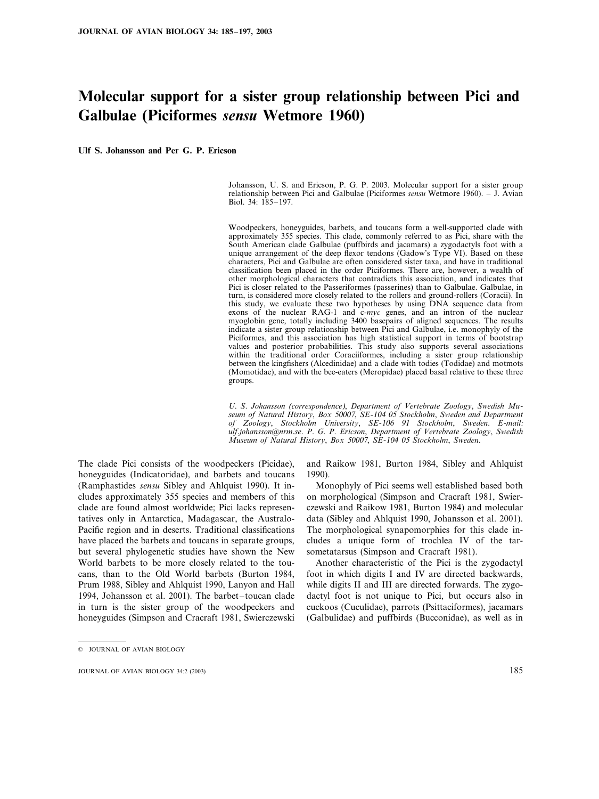# **Molecular support for a sister group relationship between Pici and Galbulae (Piciformes** *sensu* **Wetmore 1960)**

**Ulf S. Johansson and Per G. P. Ericson**

Johansson, U. S. and Ericson, P. G. P. 2003. Molecular support for a sister group relationship between Pici and Galbulae (Piciformes *sensu* Wetmore 1960). – J. Avian Biol. 34: 185–197.

Woodpeckers, honeyguides, barbets, and toucans form a well-supported clade with approximately 355 species. This clade, commonly referred to as Pici, share with the South American clade Galbulae (puffbirds and jacamars) a zygodactyls foot with a unique arrangement of the deep flexor tendons (Gadow's Type VI). Based on these characters, Pici and Galbulae are often considered sister taxa, and have in traditional classification been placed in the order Piciformes. There are, however, a wealth of other morphological characters that contradicts this association, and indicates that Pici is closer related to the Passeriformes (passerines) than to Galbulae. Galbulae, in turn, is considered more closely related to the rollers and ground-rollers (Coracii). In this study, we evaluate these two hypotheses by using DNA sequence data from exons of the nuclear RAG-1 and c-*myc* genes, and an intron of the nuclear myoglobin gene, totally including 3400 basepairs of aligned sequences. The results indicate a sister group relationship between Pici and Galbulae, i.e. monophyly of the Piciformes, and this association has high statistical support in terms of bootstrap values and posterior probabilities. This study also supports several associations within the traditional order Coraciiformes, including a sister group relationship between the kingfishers (Alcedinidae) and a clade with todies (Todidae) and motmots (Momotidae), and with the bee-eaters (Meropidae) placed basal relative to these three groups.

*U*. *S*. *Johansson* (*correspondence*), *Department of Vertebrate Zoology*, *Swedish Museum of Natural History*, *Box* 50007, *SE*-104 05 *Stockholm*, *Sweden and Department of Zoology*, *Stockholm Uniersity*, *SE*-<sup>106</sup> <sup>91</sup> *Stockholm*, *Sweden*. *E*-*mail*: *ulf*.*johansson@nrm*.*se*. *P*. *G*. *P*. *Ericson*, *Department of Vertebrate Zoology*, *Swedish Museum of Natural History*, *Box* 50007, *SE*-104 05 *Stockholm*, *Sweden*.

The clade Pici consists of the woodpeckers (Picidae), honeyguides (Indicatoridae), and barbets and toucans (Ramphastides *sensu* Sibley and Ahlquist 1990). It includes approximately 355 species and members of this clade are found almost worldwide; Pici lacks representatives only in Antarctica, Madagascar, the Australo-Pacific region and in deserts. Traditional classifications have placed the barbets and toucans in separate groups, but several phylogenetic studies have shown the New World barbets to be more closely related to the toucans, than to the Old World barbets (Burton 1984, Prum 1988, Sibley and Ahlquist 1990, Lanyon and Hall 1994, Johansson et al. 2001). The barbet–toucan clade in turn is the sister group of the woodpeckers and honeyguides (Simpson and Cracraft 1981, Swierczewski

JOURNAL OF AVIAN BIOLOGY 34:2  $(2003)$  185

and Raikow 1981, Burton 1984, Sibley and Ahlquist 1990).

Monophyly of Pici seems well established based both on morphological (Simpson and Cracraft 1981, Swierczewski and Raikow 1981, Burton 1984) and molecular data (Sibley and Ahlquist 1990, Johansson et al. 2001). The morphological synapomorphies for this clade includes a unique form of trochlea IV of the tarsometatarsus (Simpson and Cracraft 1981).

Another characteristic of the Pici is the zygodactyl foot in which digits I and IV are directed backwards, while digits II and III are directed forwards. The zygodactyl foot is not unique to Pici, but occurs also in cuckoos (Cuculidae), parrots (Psittaciformes), jacamars (Galbulidae) and puffbirds (Bucconidae), as well as in

<sup>©</sup> JOURNAL OF AVIAN BIOLOGY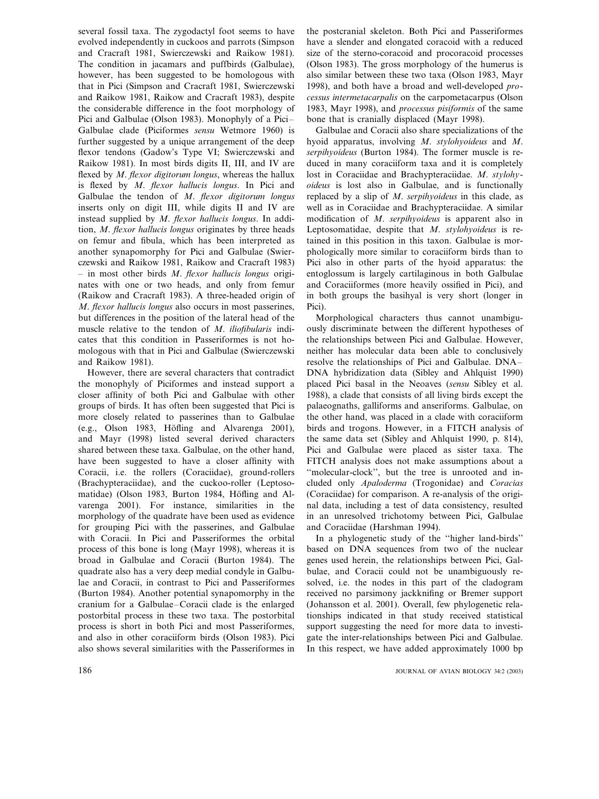several fossil taxa. The zygodactyl foot seems to have evolved independently in cuckoos and parrots (Simpson and Cracraft 1981, Swierczewski and Raikow 1981). The condition in jacamars and puffbirds (Galbulae), however, has been suggested to be homologous with that in Pici (Simpson and Cracraft 1981, Swierczewski and Raikow 1981, Raikow and Cracraft 1983), despite the considerable difference in the foot morphology of Pici and Galbulae (Olson 1983). Monophyly of a Pici– Galbulae clade (Piciformes *sensu* Wetmore 1960) is further suggested by a unique arrangement of the deep flexor tendons (Gadow's Type VI; Swierczewski and Raikow 1981). In most birds digits II, III, and IV are flexed by *M*. *flexor digitorum longus*, whereas the hallux is flexed by *M*. *flexor hallucis longus*. In Pici and Galbulae the tendon of *M*. *flexor digitorum longus* inserts only on digit III, while digits II and IV are instead supplied by *M*. *flexor hallucis longus*. In addition, *M*. *flexor hallucis longus* originates by three heads on femur and fibula, which has been interpreted as another synapomorphy for Pici and Galbulae (Swierczewski and Raikow 1981, Raikow and Cracraft 1983) – in most other birds *M*. *flexor hallucis longus* originates with one or two heads, and only from femur (Raikow and Cracraft 1983). A three-headed origin of *M*. *flexor hallucis longus* also occurs in most passerines, but differences in the position of the lateral head of the muscle relative to the tendon of *M*. *iliofibularis* indicates that this condition in Passeriformes is not homologous with that in Pici and Galbulae (Swierczewski and Raikow 1981).

However, there are several characters that contradict the monophyly of Piciformes and instead support a closer affinity of both Pici and Galbulae with other groups of birds. It has often been suggested that Pici is more closely related to passerines than to Galbulae (e.g., Olson 1983, Höfling and Alvarenga 2001), and Mayr (1998) listed several derived characters shared between these taxa. Galbulae, on the other hand, have been suggested to have a closer affinity with Coracii, i.e. the rollers (Coraciidae), ground-rollers (Brachypteraciidae), and the cuckoo-roller (Leptosomatidae) (Olson 1983, Burton 1984, Höfling and Alvarenga 2001). For instance, similarities in the morphology of the quadrate have been used as evidence for grouping Pici with the passerines, and Galbulae with Coracii. In Pici and Passeriformes the orbital process of this bone is long (Mayr 1998), whereas it is broad in Galbulae and Coracii (Burton 1984). The quadrate also has a very deep medial condyle in Galbulae and Coracii, in contrast to Pici and Passeriformes (Burton 1984). Another potential synapomorphy in the cranium for a Galbulae–Coracii clade is the enlarged postorbital process in these two taxa. The postorbital process is short in both Pici and most Passeriformes, and also in other coraciiform birds (Olson 1983). Pici also shows several similarities with the Passeriformes in

the postcranial skeleton. Both Pici and Passeriformes have a slender and elongated coracoid with a reduced size of the sterno-coracoid and procoracoid processes (Olson 1983). The gross morphology of the humerus is also similar between these two taxa (Olson 1983, Mayr 1998), and both have a broad and well-developed *processus intermetacarpalis* on the carpometacarpus (Olson 1983, Mayr 1998), and *processus pisiformis* of the same bone that is cranially displaced (Mayr 1998).

Galbulae and Coracii also share specializations of the hyoid apparatus, involving *M*. *stylohyoideus* and *M*. *serpihyoideus* (Burton 1984). The former muscle is reduced in many coraciiform taxa and it is completely lost in Coraciidae and Brachypteraciidae. *M*. *stylohyoideus* is lost also in Galbulae, and is functionally replaced by a slip of *M*. *serpihyoideus* in this clade, as well as in Coraciidae and Brachypteraciidae. A similar modification of *M*. *serpihyoideus* is apparent also in Leptosomatidae, despite that *M*. *stylohyoideus* is retained in this position in this taxon. Galbulae is morphologically more similar to coraciiform birds than to Pici also in other parts of the hyoid apparatus: the entoglossum is largely cartilaginous in both Galbulae and Coraciiformes (more heavily ossified in Pici), and in both groups the basihyal is very short (longer in Pici).

Morphological characters thus cannot unambiguously discriminate between the different hypotheses of the relationships between Pici and Galbulae. However, neither has molecular data been able to conclusively resolve the relationships of Pici and Galbulae. DNA– DNA hybridization data (Sibley and Ahlquist 1990) placed Pici basal in the Neoaves (*sensu* Sibley et al. 1988), a clade that consists of all living birds except the palaeognaths, galliforms and anseriforms. Galbulae, on the other hand, was placed in a clade with coraciiform birds and trogons. However, in a FITCH analysis of the same data set (Sibley and Ahlquist 1990, p. 814), Pici and Galbulae were placed as sister taxa. The FITCH analysis does not make assumptions about a ''molecular-clock'', but the tree is unrooted and included only *Apaloderma* (Trogonidae) and *Coracias* (Coraciidae) for comparison. A re-analysis of the original data, including a test of data consistency, resulted in an unresolved trichotomy between Pici, Galbulae and Coraciidae (Harshman 1994).

In a phylogenetic study of the ''higher land-birds'' based on DNA sequences from two of the nuclear genes used herein, the relationships between Pici, Galbulae, and Coracii could not be unambiguously resolved, i.e. the nodes in this part of the cladogram received no parsimony jackknifing or Bremer support (Johansson et al. 2001). Overall, few phylogenetic relationships indicated in that study received statistical support suggesting the need for more data to investigate the inter-relationships between Pici and Galbulae. In this respect, we have added approximately 1000 bp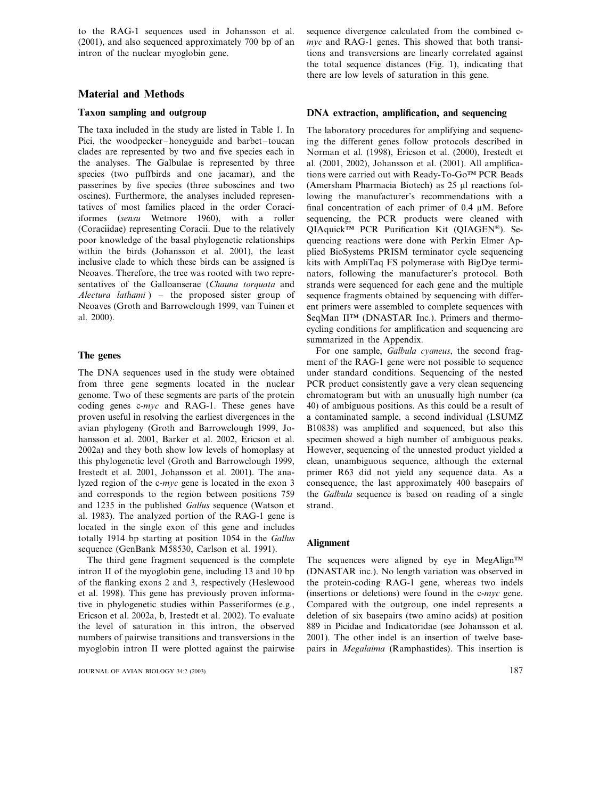to the RAG-1 sequences used in Johansson et al. (2001), and also sequenced approximately 700 bp of an intron of the nuclear myoglobin gene.

# **Material and Methods**

# **Taxon sampling and outgroup**

The taxa included in the study are listed in Table 1. In Pici, the woodpecker–honeyguide and barbet–toucan clades are represented by two and five species each in the analyses. The Galbulae is represented by three species (two puffbirds and one jacamar), and the passerines by five species (three suboscines and two oscines). Furthermore, the analyses included representatives of most families placed in the order Coraciiformes (*sensu* Wetmore 1960), with a roller (Coraciidae) representing Coracii. Due to the relatively poor knowledge of the basal phylogenetic relationships within the birds (Johansson et al. 2001), the least inclusive clade to which these birds can be assigned is Neoaves. Therefore, the tree was rooted with two representatives of the Galloanserae (*Chauna torquata* and *Alectura lathami* ) – the proposed sister group of Neoaves (Groth and Barrowclough 1999, van Tuinen et al. 2000).

### **The genes**

The DNA sequences used in the study were obtained from three gene segments located in the nuclear genome. Two of these segments are parts of the protein coding genes c-*myc* and RAG-1. These genes have proven useful in resolving the earliest divergences in the avian phylogeny (Groth and Barrowclough 1999, Johansson et al. 2001, Barker et al. 2002, Ericson et al. 2002a) and they both show low levels of homoplasy at this phylogenetic level (Groth and Barrowclough 1999, Irestedt et al. 2001, Johansson et al. 2001). The analyzed region of the c-*myc* gene is located in the exon 3 and corresponds to the region between positions 759 and 1235 in the published *Gallus* sequence (Watson et al. 1983). The analyzed portion of the RAG-1 gene is located in the single exon of this gene and includes totally 1914 bp starting at position 1054 in the *Gallus* sequence (GenBank M58530, Carlson et al. 1991).

The third gene fragment sequenced is the complete intron II of the myoglobin gene, including 13 and 10 bp of the flanking exons 2 and 3, respectively (Heslewood et al. 1998). This gene has previously proven informative in phylogenetic studies within Passeriformes (e.g., Ericson et al. 2002a, b, Irestedt et al. 2002). To evaluate the level of saturation in this intron, the observed numbers of pairwise transitions and transversions in the myoglobin intron II were plotted against the pairwise

sequence divergence calculated from the combined c*myc* and RAG-1 genes. This showed that both transitions and transversions are linearly correlated against the total sequence distances (Fig. 1), indicating that there are low levels of saturation in this gene.

### **DNA extraction, amplification, and sequencing**

The laboratory procedures for amplifying and sequencing the different genes follow protocols described in Norman et al. (1998), Ericson et al. (2000), Irestedt et al. (2001, 2002), Johansson et al. (2001). All amplifications were carried out with Ready-To-Go™ PCR Beads (Amersham Pharmacia Biotech) as  $25 \mu l$  reactions following the manufacturer's recommendations with a final concentration of each primer of  $0.4 \mu M$ . Before sequencing, the PCR products were cleaned with QIAquick™ PCR Purification Kit (QIAGEN®). Sequencing reactions were done with Perkin Elmer Applied BioSystems PRISM terminator cycle sequencing kits with AmpliTaq FS polymerase with BigDye terminators, following the manufacturer's protocol. Both strands were sequenced for each gene and the multiple sequence fragments obtained by sequencing with different primers were assembled to complete sequences with SeqMan II™ (DNASTAR Inc.). Primers and thermocycling conditions for amplification and sequencing are summarized in the Appendix.

For one sample, *Galbula cyaneus*, the second fragment of the RAG-1 gene were not possible to sequence under standard conditions. Sequencing of the nested PCR product consistently gave a very clean sequencing chromatogram but with an unusually high number (ca 40) of ambiguous positions. As this could be a result of a contaminated sample, a second individual (LSUMZ B10838) was amplified and sequenced, but also this specimen showed a high number of ambiguous peaks. However, sequencing of the unnested product yielded a clean, unambiguous sequence, although the external primer R63 did not yield any sequence data. As a consequence, the last approximately 400 basepairs of the *Galbula* sequence is based on reading of a single strand.

## **Alignment**

The sequences were aligned by eye in MegAlign™ (DNASTAR inc.). No length variation was observed in the protein-coding RAG-1 gene, whereas two indels (insertions or deletions) were found in the c-*myc* gene. Compared with the outgroup, one indel represents a deletion of six basepairs (two amino acids) at position 889 in Picidae and Indicatoridae (see Johansson et al. 2001). The other indel is an insertion of twelve basepairs in *Megalaima* (Ramphastides). This insertion is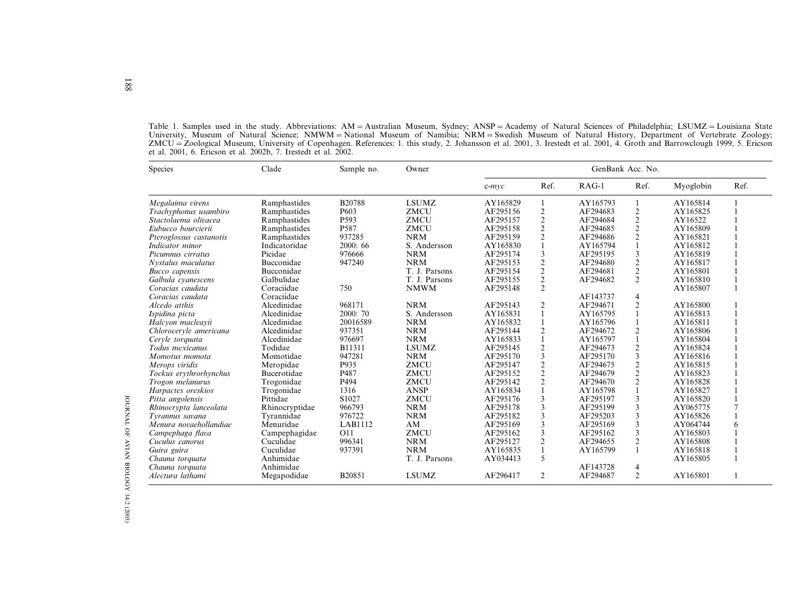| Ref.<br>$RAG-1$<br>Ref.<br>Myoglobin<br>$c-myc$<br>Megalaima virens<br>Ramphastides<br><b>B20788</b><br><b>LSUMZ</b><br>1<br>AY165829<br>$\mathbf{1}$<br>AY165793<br>AY165814<br>$\sqrt{2}$<br>Trachyphonus usambiro<br>Ramphastides<br>P <sub>603</sub><br><b>ZMCU</b><br>AF295156<br>AF294683<br>$\overline{c}$<br>AY165825<br>$\sqrt{2}$<br>P593<br><b>ZMCU</b><br>$\overline{c}$<br>Stactolaema olivacea<br>Ramphastides<br>AF295157<br>AF294684<br>AY16522<br>$\overline{c}$<br>2<br>Eubucco bourcierii<br>Ramphastides<br>P587<br>ZMCU<br>AF295158<br>AF294685<br>AY165809<br>Ramphastides<br>937285<br><b>NRM</b><br>AF295159<br>2<br>AF294686<br>2<br>Pteroglossus castanotis<br>AY165821<br>$\mathbf{1}$<br>Indicator minor<br>Indicatoridae<br>2000: 66<br>AY165830<br>-1<br>S. Andersson<br>AY165794<br>AY165812<br>3<br>Picumnus cirratus<br>Picidae<br>976666<br><b>NRM</b><br>AF295174<br>AF295195<br>3<br>AY165819<br>$\overline{c}$<br>$\overline{2}$<br>Bucconidae<br>947240<br><b>NRM</b><br>AF295153<br>AF294680<br>Nystalus maculatus<br>AY165817<br>$\sqrt{2}$<br>$\sqrt{2}$<br>Bucconidae<br>T. J. Parsons<br>AF295154<br>AF294681<br>Bucco capensis<br>AY165801<br>2<br>Galbulidae<br>T. J. Parsons<br>AF295155<br>2<br>AF294682<br>Galbula cyanescens<br>AY165810<br>750<br>$\overline{2}$<br>Coraciidae<br><b>NMWM</b><br>Coracias caudata<br>AF295148<br>AY165807<br>Coracias caudata<br>Coraciidae<br>$\overline{4}$<br>AF143737<br>968171<br><b>NRM</b><br>2<br>AF294671<br>2<br>Alcedo atthis<br>Alcedinidae<br>AF295143<br>AY165800<br>Alcedinidae<br>2000: 70<br>$\mathbf{1}$<br>Ispidina picta<br>S. Andersson<br>AY165831<br>AY165795<br>$\mathbf{1}$<br>AY165813<br>Alcedinidae<br>20016589<br><b>NRM</b><br>$\mathbf{1}$<br>Halcyon macleavii<br>AY165832<br>AY165796<br>1<br>AY165811<br>$\overline{c}$<br>Chloroceryle americana<br>Alcedinidae<br>937351<br><b>NRM</b><br>AF295144<br>2<br>AF294672<br>AY165806<br>$\mathbf{1}$<br>Alcedinidae<br>976697<br><b>NRM</b><br>AY165833<br>1<br>AY165804<br>Cervle torquata<br>AY165797<br>$\overline{c}$<br>Todus mexicanus<br>Todidae<br><b>B11311</b><br><b>LSUMZ</b><br>AF295145<br>$\overline{2}$<br>AF294673<br>AY165824<br>3<br>947281<br><b>NRM</b><br>AF295170<br>AF295170<br>3<br>AY165816<br>Momotus momota<br>Momotidae<br>Meropidae<br>P935<br><b>ZMCU</b><br>AF295147<br>$\boldsymbol{2}$<br>AF294675<br>$\overline{c}$<br>Merops viridis<br>AY165815<br>$\sqrt{2}$<br>$\sqrt{2}$<br>Bucerotidae<br>P487<br><b>ZMCU</b><br>AF295152<br>AY165823<br>Tockus erythrorhynchus<br>AF294679<br>$\overline{c}$<br>2<br>Trogon melanurus<br>Trogonidae<br>P494<br><b>ZMCU</b><br>AF295142<br>AF294670<br>AY165828<br><b>ANSP</b><br>Harpactes oreskios<br>Trogonidae<br>1316<br>AY165834<br>$\mathbf{1}$<br>AY165798<br>$\mathbf{1}$<br>AY165827<br>Pitta angolensis<br>Pittidae<br>S1027<br>ZMCU<br>AF295176<br>3<br>AF295197<br>3<br>AY165820<br>966793<br>Rhinocryptidae<br><b>NRM</b><br>AF295178<br>3<br>AF295199<br>3<br>Rhinocrypta lanceolata<br>AY065775<br>Tyrannidae<br>976722<br>3<br>AF295203<br>3<br>Tyrannus savana<br><b>NRM</b><br>AF295182<br>AY165826<br>Menuridae<br>LAB1112<br>AF295169<br>3<br>AF295169<br>3<br>AY064744<br>Menura novaehollandiae<br>AM<br>3<br>O11<br><b>ZMCU</b><br>3<br>AF295162<br>Campephaga flava<br>Campephagidae<br>AF295162<br>AY165803<br>$\overline{2}$<br>$\overline{2}$<br>996341<br><b>NRM</b><br>AF294655<br>Cuculus canorus<br>Cuculidae<br>AF295127<br>AY165808<br>Cuculidae<br>937391<br><b>NRM</b><br>$\mathbf{1}$<br>Guira guira<br>AY165835<br>AY165799<br>$\mathbf{1}$<br>AY165818<br>5<br>Chauna torquata<br>Anhimidae<br>T. J. Parsons<br>AY034413<br>AY165805 | Species         | Clade     | Sample no. | Owner |  |          | GenBank Acc. No. |              |
|----------------------------------------------------------------------------------------------------------------------------------------------------------------------------------------------------------------------------------------------------------------------------------------------------------------------------------------------------------------------------------------------------------------------------------------------------------------------------------------------------------------------------------------------------------------------------------------------------------------------------------------------------------------------------------------------------------------------------------------------------------------------------------------------------------------------------------------------------------------------------------------------------------------------------------------------------------------------------------------------------------------------------------------------------------------------------------------------------------------------------------------------------------------------------------------------------------------------------------------------------------------------------------------------------------------------------------------------------------------------------------------------------------------------------------------------------------------------------------------------------------------------------------------------------------------------------------------------------------------------------------------------------------------------------------------------------------------------------------------------------------------------------------------------------------------------------------------------------------------------------------------------------------------------------------------------------------------------------------------------------------------------------------------------------------------------------------------------------------------------------------------------------------------------------------------------------------------------------------------------------------------------------------------------------------------------------------------------------------------------------------------------------------------------------------------------------------------------------------------------------------------------------------------------------------------------------------------------------------------------------------------------------------------------------------------------------------------------------------------------------------------------------------------------------------------------------------------------------------------------------------------------------------------------------------------------------------------------------------------------------------------------------------------------------------------------------------------------------------------------------------------------------------------------------------------------------------------------------------------------------------------------------------------------------------------------------------------------------------------------------------------------------------------------------------------------------------------------------------------------------------------------------------------------------------------------------------------------------------------------------------------------------------------------------------------------------------------------|-----------------|-----------|------------|-------|--|----------|------------------|--------------|
|                                                                                                                                                                                                                                                                                                                                                                                                                                                                                                                                                                                                                                                                                                                                                                                                                                                                                                                                                                                                                                                                                                                                                                                                                                                                                                                                                                                                                                                                                                                                                                                                                                                                                                                                                                                                                                                                                                                                                                                                                                                                                                                                                                                                                                                                                                                                                                                                                                                                                                                                                                                                                                                                                                                                                                                                                                                                                                                                                                                                                                                                                                                                                                                                                                                                                                                                                                                                                                                                                                                                                                                                                                                                                                                      |                 |           |            |       |  |          |                  | Ref.         |
|                                                                                                                                                                                                                                                                                                                                                                                                                                                                                                                                                                                                                                                                                                                                                                                                                                                                                                                                                                                                                                                                                                                                                                                                                                                                                                                                                                                                                                                                                                                                                                                                                                                                                                                                                                                                                                                                                                                                                                                                                                                                                                                                                                                                                                                                                                                                                                                                                                                                                                                                                                                                                                                                                                                                                                                                                                                                                                                                                                                                                                                                                                                                                                                                                                                                                                                                                                                                                                                                                                                                                                                                                                                                                                                      |                 |           |            |       |  |          |                  | $\mathbf{1}$ |
|                                                                                                                                                                                                                                                                                                                                                                                                                                                                                                                                                                                                                                                                                                                                                                                                                                                                                                                                                                                                                                                                                                                                                                                                                                                                                                                                                                                                                                                                                                                                                                                                                                                                                                                                                                                                                                                                                                                                                                                                                                                                                                                                                                                                                                                                                                                                                                                                                                                                                                                                                                                                                                                                                                                                                                                                                                                                                                                                                                                                                                                                                                                                                                                                                                                                                                                                                                                                                                                                                                                                                                                                                                                                                                                      |                 |           |            |       |  |          |                  |              |
|                                                                                                                                                                                                                                                                                                                                                                                                                                                                                                                                                                                                                                                                                                                                                                                                                                                                                                                                                                                                                                                                                                                                                                                                                                                                                                                                                                                                                                                                                                                                                                                                                                                                                                                                                                                                                                                                                                                                                                                                                                                                                                                                                                                                                                                                                                                                                                                                                                                                                                                                                                                                                                                                                                                                                                                                                                                                                                                                                                                                                                                                                                                                                                                                                                                                                                                                                                                                                                                                                                                                                                                                                                                                                                                      |                 |           |            |       |  |          |                  |              |
|                                                                                                                                                                                                                                                                                                                                                                                                                                                                                                                                                                                                                                                                                                                                                                                                                                                                                                                                                                                                                                                                                                                                                                                                                                                                                                                                                                                                                                                                                                                                                                                                                                                                                                                                                                                                                                                                                                                                                                                                                                                                                                                                                                                                                                                                                                                                                                                                                                                                                                                                                                                                                                                                                                                                                                                                                                                                                                                                                                                                                                                                                                                                                                                                                                                                                                                                                                                                                                                                                                                                                                                                                                                                                                                      |                 |           |            |       |  |          |                  |              |
|                                                                                                                                                                                                                                                                                                                                                                                                                                                                                                                                                                                                                                                                                                                                                                                                                                                                                                                                                                                                                                                                                                                                                                                                                                                                                                                                                                                                                                                                                                                                                                                                                                                                                                                                                                                                                                                                                                                                                                                                                                                                                                                                                                                                                                                                                                                                                                                                                                                                                                                                                                                                                                                                                                                                                                                                                                                                                                                                                                                                                                                                                                                                                                                                                                                                                                                                                                                                                                                                                                                                                                                                                                                                                                                      |                 |           |            |       |  |          |                  |              |
|                                                                                                                                                                                                                                                                                                                                                                                                                                                                                                                                                                                                                                                                                                                                                                                                                                                                                                                                                                                                                                                                                                                                                                                                                                                                                                                                                                                                                                                                                                                                                                                                                                                                                                                                                                                                                                                                                                                                                                                                                                                                                                                                                                                                                                                                                                                                                                                                                                                                                                                                                                                                                                                                                                                                                                                                                                                                                                                                                                                                                                                                                                                                                                                                                                                                                                                                                                                                                                                                                                                                                                                                                                                                                                                      |                 |           |            |       |  |          |                  |              |
|                                                                                                                                                                                                                                                                                                                                                                                                                                                                                                                                                                                                                                                                                                                                                                                                                                                                                                                                                                                                                                                                                                                                                                                                                                                                                                                                                                                                                                                                                                                                                                                                                                                                                                                                                                                                                                                                                                                                                                                                                                                                                                                                                                                                                                                                                                                                                                                                                                                                                                                                                                                                                                                                                                                                                                                                                                                                                                                                                                                                                                                                                                                                                                                                                                                                                                                                                                                                                                                                                                                                                                                                                                                                                                                      |                 |           |            |       |  |          |                  |              |
|                                                                                                                                                                                                                                                                                                                                                                                                                                                                                                                                                                                                                                                                                                                                                                                                                                                                                                                                                                                                                                                                                                                                                                                                                                                                                                                                                                                                                                                                                                                                                                                                                                                                                                                                                                                                                                                                                                                                                                                                                                                                                                                                                                                                                                                                                                                                                                                                                                                                                                                                                                                                                                                                                                                                                                                                                                                                                                                                                                                                                                                                                                                                                                                                                                                                                                                                                                                                                                                                                                                                                                                                                                                                                                                      |                 |           |            |       |  |          |                  |              |
|                                                                                                                                                                                                                                                                                                                                                                                                                                                                                                                                                                                                                                                                                                                                                                                                                                                                                                                                                                                                                                                                                                                                                                                                                                                                                                                                                                                                                                                                                                                                                                                                                                                                                                                                                                                                                                                                                                                                                                                                                                                                                                                                                                                                                                                                                                                                                                                                                                                                                                                                                                                                                                                                                                                                                                                                                                                                                                                                                                                                                                                                                                                                                                                                                                                                                                                                                                                                                                                                                                                                                                                                                                                                                                                      |                 |           |            |       |  |          |                  |              |
|                                                                                                                                                                                                                                                                                                                                                                                                                                                                                                                                                                                                                                                                                                                                                                                                                                                                                                                                                                                                                                                                                                                                                                                                                                                                                                                                                                                                                                                                                                                                                                                                                                                                                                                                                                                                                                                                                                                                                                                                                                                                                                                                                                                                                                                                                                                                                                                                                                                                                                                                                                                                                                                                                                                                                                                                                                                                                                                                                                                                                                                                                                                                                                                                                                                                                                                                                                                                                                                                                                                                                                                                                                                                                                                      |                 |           |            |       |  |          |                  |              |
|                                                                                                                                                                                                                                                                                                                                                                                                                                                                                                                                                                                                                                                                                                                                                                                                                                                                                                                                                                                                                                                                                                                                                                                                                                                                                                                                                                                                                                                                                                                                                                                                                                                                                                                                                                                                                                                                                                                                                                                                                                                                                                                                                                                                                                                                                                                                                                                                                                                                                                                                                                                                                                                                                                                                                                                                                                                                                                                                                                                                                                                                                                                                                                                                                                                                                                                                                                                                                                                                                                                                                                                                                                                                                                                      |                 |           |            |       |  |          |                  | $\mathbf{1}$ |
|                                                                                                                                                                                                                                                                                                                                                                                                                                                                                                                                                                                                                                                                                                                                                                                                                                                                                                                                                                                                                                                                                                                                                                                                                                                                                                                                                                                                                                                                                                                                                                                                                                                                                                                                                                                                                                                                                                                                                                                                                                                                                                                                                                                                                                                                                                                                                                                                                                                                                                                                                                                                                                                                                                                                                                                                                                                                                                                                                                                                                                                                                                                                                                                                                                                                                                                                                                                                                                                                                                                                                                                                                                                                                                                      |                 |           |            |       |  |          |                  |              |
|                                                                                                                                                                                                                                                                                                                                                                                                                                                                                                                                                                                                                                                                                                                                                                                                                                                                                                                                                                                                                                                                                                                                                                                                                                                                                                                                                                                                                                                                                                                                                                                                                                                                                                                                                                                                                                                                                                                                                                                                                                                                                                                                                                                                                                                                                                                                                                                                                                                                                                                                                                                                                                                                                                                                                                                                                                                                                                                                                                                                                                                                                                                                                                                                                                                                                                                                                                                                                                                                                                                                                                                                                                                                                                                      |                 |           |            |       |  |          |                  |              |
|                                                                                                                                                                                                                                                                                                                                                                                                                                                                                                                                                                                                                                                                                                                                                                                                                                                                                                                                                                                                                                                                                                                                                                                                                                                                                                                                                                                                                                                                                                                                                                                                                                                                                                                                                                                                                                                                                                                                                                                                                                                                                                                                                                                                                                                                                                                                                                                                                                                                                                                                                                                                                                                                                                                                                                                                                                                                                                                                                                                                                                                                                                                                                                                                                                                                                                                                                                                                                                                                                                                                                                                                                                                                                                                      |                 |           |            |       |  |          |                  |              |
|                                                                                                                                                                                                                                                                                                                                                                                                                                                                                                                                                                                                                                                                                                                                                                                                                                                                                                                                                                                                                                                                                                                                                                                                                                                                                                                                                                                                                                                                                                                                                                                                                                                                                                                                                                                                                                                                                                                                                                                                                                                                                                                                                                                                                                                                                                                                                                                                                                                                                                                                                                                                                                                                                                                                                                                                                                                                                                                                                                                                                                                                                                                                                                                                                                                                                                                                                                                                                                                                                                                                                                                                                                                                                                                      |                 |           |            |       |  |          |                  |              |
|                                                                                                                                                                                                                                                                                                                                                                                                                                                                                                                                                                                                                                                                                                                                                                                                                                                                                                                                                                                                                                                                                                                                                                                                                                                                                                                                                                                                                                                                                                                                                                                                                                                                                                                                                                                                                                                                                                                                                                                                                                                                                                                                                                                                                                                                                                                                                                                                                                                                                                                                                                                                                                                                                                                                                                                                                                                                                                                                                                                                                                                                                                                                                                                                                                                                                                                                                                                                                                                                                                                                                                                                                                                                                                                      |                 |           |            |       |  |          |                  |              |
|                                                                                                                                                                                                                                                                                                                                                                                                                                                                                                                                                                                                                                                                                                                                                                                                                                                                                                                                                                                                                                                                                                                                                                                                                                                                                                                                                                                                                                                                                                                                                                                                                                                                                                                                                                                                                                                                                                                                                                                                                                                                                                                                                                                                                                                                                                                                                                                                                                                                                                                                                                                                                                                                                                                                                                                                                                                                                                                                                                                                                                                                                                                                                                                                                                                                                                                                                                                                                                                                                                                                                                                                                                                                                                                      |                 |           |            |       |  |          |                  |              |
|                                                                                                                                                                                                                                                                                                                                                                                                                                                                                                                                                                                                                                                                                                                                                                                                                                                                                                                                                                                                                                                                                                                                                                                                                                                                                                                                                                                                                                                                                                                                                                                                                                                                                                                                                                                                                                                                                                                                                                                                                                                                                                                                                                                                                                                                                                                                                                                                                                                                                                                                                                                                                                                                                                                                                                                                                                                                                                                                                                                                                                                                                                                                                                                                                                                                                                                                                                                                                                                                                                                                                                                                                                                                                                                      |                 |           |            |       |  |          |                  |              |
|                                                                                                                                                                                                                                                                                                                                                                                                                                                                                                                                                                                                                                                                                                                                                                                                                                                                                                                                                                                                                                                                                                                                                                                                                                                                                                                                                                                                                                                                                                                                                                                                                                                                                                                                                                                                                                                                                                                                                                                                                                                                                                                                                                                                                                                                                                                                                                                                                                                                                                                                                                                                                                                                                                                                                                                                                                                                                                                                                                                                                                                                                                                                                                                                                                                                                                                                                                                                                                                                                                                                                                                                                                                                                                                      |                 |           |            |       |  |          |                  |              |
|                                                                                                                                                                                                                                                                                                                                                                                                                                                                                                                                                                                                                                                                                                                                                                                                                                                                                                                                                                                                                                                                                                                                                                                                                                                                                                                                                                                                                                                                                                                                                                                                                                                                                                                                                                                                                                                                                                                                                                                                                                                                                                                                                                                                                                                                                                                                                                                                                                                                                                                                                                                                                                                                                                                                                                                                                                                                                                                                                                                                                                                                                                                                                                                                                                                                                                                                                                                                                                                                                                                                                                                                                                                                                                                      |                 |           |            |       |  |          |                  |              |
|                                                                                                                                                                                                                                                                                                                                                                                                                                                                                                                                                                                                                                                                                                                                                                                                                                                                                                                                                                                                                                                                                                                                                                                                                                                                                                                                                                                                                                                                                                                                                                                                                                                                                                                                                                                                                                                                                                                                                                                                                                                                                                                                                                                                                                                                                                                                                                                                                                                                                                                                                                                                                                                                                                                                                                                                                                                                                                                                                                                                                                                                                                                                                                                                                                                                                                                                                                                                                                                                                                                                                                                                                                                                                                                      |                 |           |            |       |  |          |                  |              |
|                                                                                                                                                                                                                                                                                                                                                                                                                                                                                                                                                                                                                                                                                                                                                                                                                                                                                                                                                                                                                                                                                                                                                                                                                                                                                                                                                                                                                                                                                                                                                                                                                                                                                                                                                                                                                                                                                                                                                                                                                                                                                                                                                                                                                                                                                                                                                                                                                                                                                                                                                                                                                                                                                                                                                                                                                                                                                                                                                                                                                                                                                                                                                                                                                                                                                                                                                                                                                                                                                                                                                                                                                                                                                                                      |                 |           |            |       |  |          |                  |              |
|                                                                                                                                                                                                                                                                                                                                                                                                                                                                                                                                                                                                                                                                                                                                                                                                                                                                                                                                                                                                                                                                                                                                                                                                                                                                                                                                                                                                                                                                                                                                                                                                                                                                                                                                                                                                                                                                                                                                                                                                                                                                                                                                                                                                                                                                                                                                                                                                                                                                                                                                                                                                                                                                                                                                                                                                                                                                                                                                                                                                                                                                                                                                                                                                                                                                                                                                                                                                                                                                                                                                                                                                                                                                                                                      |                 |           |            |       |  |          |                  |              |
|                                                                                                                                                                                                                                                                                                                                                                                                                                                                                                                                                                                                                                                                                                                                                                                                                                                                                                                                                                                                                                                                                                                                                                                                                                                                                                                                                                                                                                                                                                                                                                                                                                                                                                                                                                                                                                                                                                                                                                                                                                                                                                                                                                                                                                                                                                                                                                                                                                                                                                                                                                                                                                                                                                                                                                                                                                                                                                                                                                                                                                                                                                                                                                                                                                                                                                                                                                                                                                                                                                                                                                                                                                                                                                                      |                 |           |            |       |  |          |                  |              |
|                                                                                                                                                                                                                                                                                                                                                                                                                                                                                                                                                                                                                                                                                                                                                                                                                                                                                                                                                                                                                                                                                                                                                                                                                                                                                                                                                                                                                                                                                                                                                                                                                                                                                                                                                                                                                                                                                                                                                                                                                                                                                                                                                                                                                                                                                                                                                                                                                                                                                                                                                                                                                                                                                                                                                                                                                                                                                                                                                                                                                                                                                                                                                                                                                                                                                                                                                                                                                                                                                                                                                                                                                                                                                                                      |                 |           |            |       |  |          |                  | 7            |
|                                                                                                                                                                                                                                                                                                                                                                                                                                                                                                                                                                                                                                                                                                                                                                                                                                                                                                                                                                                                                                                                                                                                                                                                                                                                                                                                                                                                                                                                                                                                                                                                                                                                                                                                                                                                                                                                                                                                                                                                                                                                                                                                                                                                                                                                                                                                                                                                                                                                                                                                                                                                                                                                                                                                                                                                                                                                                                                                                                                                                                                                                                                                                                                                                                                                                                                                                                                                                                                                                                                                                                                                                                                                                                                      |                 |           |            |       |  |          |                  |              |
|                                                                                                                                                                                                                                                                                                                                                                                                                                                                                                                                                                                                                                                                                                                                                                                                                                                                                                                                                                                                                                                                                                                                                                                                                                                                                                                                                                                                                                                                                                                                                                                                                                                                                                                                                                                                                                                                                                                                                                                                                                                                                                                                                                                                                                                                                                                                                                                                                                                                                                                                                                                                                                                                                                                                                                                                                                                                                                                                                                                                                                                                                                                                                                                                                                                                                                                                                                                                                                                                                                                                                                                                                                                                                                                      |                 |           |            |       |  |          |                  | 6            |
|                                                                                                                                                                                                                                                                                                                                                                                                                                                                                                                                                                                                                                                                                                                                                                                                                                                                                                                                                                                                                                                                                                                                                                                                                                                                                                                                                                                                                                                                                                                                                                                                                                                                                                                                                                                                                                                                                                                                                                                                                                                                                                                                                                                                                                                                                                                                                                                                                                                                                                                                                                                                                                                                                                                                                                                                                                                                                                                                                                                                                                                                                                                                                                                                                                                                                                                                                                                                                                                                                                                                                                                                                                                                                                                      |                 |           |            |       |  |          |                  |              |
|                                                                                                                                                                                                                                                                                                                                                                                                                                                                                                                                                                                                                                                                                                                                                                                                                                                                                                                                                                                                                                                                                                                                                                                                                                                                                                                                                                                                                                                                                                                                                                                                                                                                                                                                                                                                                                                                                                                                                                                                                                                                                                                                                                                                                                                                                                                                                                                                                                                                                                                                                                                                                                                                                                                                                                                                                                                                                                                                                                                                                                                                                                                                                                                                                                                                                                                                                                                                                                                                                                                                                                                                                                                                                                                      |                 |           |            |       |  |          |                  |              |
|                                                                                                                                                                                                                                                                                                                                                                                                                                                                                                                                                                                                                                                                                                                                                                                                                                                                                                                                                                                                                                                                                                                                                                                                                                                                                                                                                                                                                                                                                                                                                                                                                                                                                                                                                                                                                                                                                                                                                                                                                                                                                                                                                                                                                                                                                                                                                                                                                                                                                                                                                                                                                                                                                                                                                                                                                                                                                                                                                                                                                                                                                                                                                                                                                                                                                                                                                                                                                                                                                                                                                                                                                                                                                                                      |                 |           |            |       |  |          |                  | $\mathbf{1}$ |
|                                                                                                                                                                                                                                                                                                                                                                                                                                                                                                                                                                                                                                                                                                                                                                                                                                                                                                                                                                                                                                                                                                                                                                                                                                                                                                                                                                                                                                                                                                                                                                                                                                                                                                                                                                                                                                                                                                                                                                                                                                                                                                                                                                                                                                                                                                                                                                                                                                                                                                                                                                                                                                                                                                                                                                                                                                                                                                                                                                                                                                                                                                                                                                                                                                                                                                                                                                                                                                                                                                                                                                                                                                                                                                                      |                 |           |            |       |  |          |                  | $\mathbf{1}$ |
|                                                                                                                                                                                                                                                                                                                                                                                                                                                                                                                                                                                                                                                                                                                                                                                                                                                                                                                                                                                                                                                                                                                                                                                                                                                                                                                                                                                                                                                                                                                                                                                                                                                                                                                                                                                                                                                                                                                                                                                                                                                                                                                                                                                                                                                                                                                                                                                                                                                                                                                                                                                                                                                                                                                                                                                                                                                                                                                                                                                                                                                                                                                                                                                                                                                                                                                                                                                                                                                                                                                                                                                                                                                                                                                      | Chauna torquata | Anhimidae |            |       |  | AF143728 | $\overline{4}$   |              |
| 2<br><b>LSUMZ</b><br>2<br>Alectura lathami<br>Megapodidae<br>B20851<br>AF296417<br>AF294687<br>AY165801                                                                                                                                                                                                                                                                                                                                                                                                                                                                                                                                                                                                                                                                                                                                                                                                                                                                                                                                                                                                                                                                                                                                                                                                                                                                                                                                                                                                                                                                                                                                                                                                                                                                                                                                                                                                                                                                                                                                                                                                                                                                                                                                                                                                                                                                                                                                                                                                                                                                                                                                                                                                                                                                                                                                                                                                                                                                                                                                                                                                                                                                                                                                                                                                                                                                                                                                                                                                                                                                                                                                                                                                              |                 |           |            |       |  |          |                  | $\mathbf{1}$ |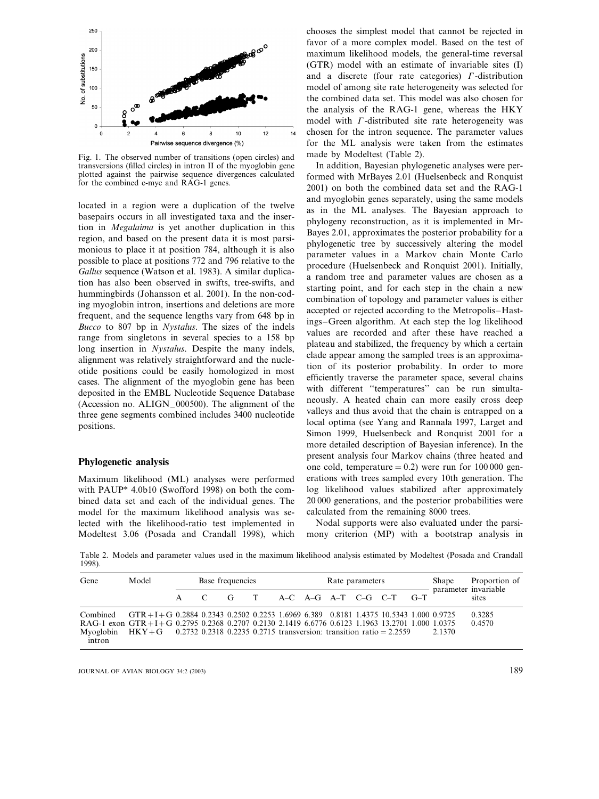

Fig. 1. The observed number of transitions (open circles) and transversions (filled circles) in intron II of the myoglobin gene plotted against the pairwise sequence divergences calculated for the combined c-myc and RAG-1 genes.

located in a region were a duplication of the twelve basepairs occurs in all investigated taxa and the insertion in *Megalaima* is yet another duplication in this region, and based on the present data it is most parsimonious to place it at position 784, although it is also possible to place at positions 772 and 796 relative to the *Gallus* sequence (Watson et al. 1983). A similar duplication has also been observed in swifts, tree-swifts, and hummingbirds (Johansson et al. 2001). In the non-coding myoglobin intron, insertions and deletions are more frequent, and the sequence lengths vary from 648 bp in *Bucco* to 807 bp in *Nystalus*. The sizes of the indels range from singletons in several species to a 158 bp long insertion in *Nystalus*. Despite the many indels, alignment was relatively straightforward and the nucleotide positions could be easily homologized in most cases. The alignment of the myoglobin gene has been deposited in the EMBL Nucleotide Sequence Database (Accession no. ALIGN–000500). The alignment of the three gene segments combined includes 3400 nucleotide positions.

#### **Phylogenetic analysis**

Maximum likelihood (ML) analyses were performed with PAUP\* 4.0b10 (Swofford 1998) on both the combined data set and each of the individual genes. The model for the maximum likelihood analysis was selected with the likelihood-ratio test implemented in Modeltest 3.06 (Posada and Crandall 1998), which

chooses the simplest model that cannot be rejected in favor of a more complex model. Based on the test of maximum likelihood models, the general-time reversal (GTR) model with an estimate of invariable sites (I) and a discrete (four rate categories)  $\Gamma$ -distribution model of among site rate heterogeneity was selected for the combined data set. This model was also chosen for the analysis of the RAG-1 gene, whereas the HKY model with  $\Gamma$ -distributed site rate heterogeneity was chosen for the intron sequence. The parameter values for the ML analysis were taken from the estimates made by Modeltest (Table 2).

In addition, Bayesian phylogenetic analyses were performed with MrBayes 2.01 (Huelsenbeck and Ronquist 2001) on both the combined data set and the RAG-1 and myoglobin genes separately, using the same models as in the ML analyses. The Bayesian approach to phylogeny reconstruction, as it is implemented in Mr-Bayes 2.01, approximates the posterior probability for a phylogenetic tree by successively altering the model parameter values in a Markov chain Monte Carlo procedure (Huelsenbeck and Ronquist 2001). Initially, a random tree and parameter values are chosen as a starting point, and for each step in the chain a new combination of topology and parameter values is either accepted or rejected according to the Metropolis–Hastings–Green algorithm. At each step the log likelihood values are recorded and after these have reached a plateau and stabilized, the frequency by which a certain clade appear among the sampled trees is an approximation of its posterior probability. In order to more efficiently traverse the parameter space, several chains with different ''temperatures'' can be run simultaneously. A heated chain can more easily cross deep valleys and thus avoid that the chain is entrapped on a local optima (see Yang and Rannala 1997, Larget and Simon 1999, Huelsenbeck and Ronquist 2001 for a more detailed description of Bayesian inference). In the present analysis four Markov chains (three heated and one cold, temperature  $=0.2$ ) were run for 100 000 generations with trees sampled every 10th generation. The log likelihood values stabilized after approximately 20 000 generations, and the posterior probabilities were calculated from the remaining 8000 trees.

Nodal supports were also evaluated under the parsimony criterion (MP) with a bootstrap analysis in

Table 2. Models and parameter values used in the maximum likelihood analysis estimated by Modeltest (Posada and Crandall 1998).

| Gene                                                                                            | Model | Base frequencies<br>Rate parameters |  |  |  | Shape | Proportion of<br>parameter invariable |                                 |        |        |
|-------------------------------------------------------------------------------------------------|-------|-------------------------------------|--|--|--|-------|---------------------------------------|---------------------------------|--------|--------|
|                                                                                                 |       |                                     |  |  |  |       |                                       | A C G T A-C A-G A-T C-G C-T G-T |        | sites  |
| Combined GTR+I+G 0.2884 0.2343 0.2502 0.2253 1.6969 6.389 0.8181 1.4375 10.5343 1.000 0.9725    |       |                                     |  |  |  |       |                                       |                                 |        | 0.3285 |
| RAG-1 exon GTR+I+G 0.2795 0.2368 0.2707 0.2130 2.1419 6.6776 0.6123 1.1963 13.2701 1.000 1.0375 |       |                                     |  |  |  |       |                                       |                                 |        | 0.4570 |
| Myoglobin $HKY+G$ 0.2732 0.2318 0.2235 0.2715 transversion: transition ratio = 2.2559<br>intron |       |                                     |  |  |  |       |                                       |                                 | 2.1370 |        |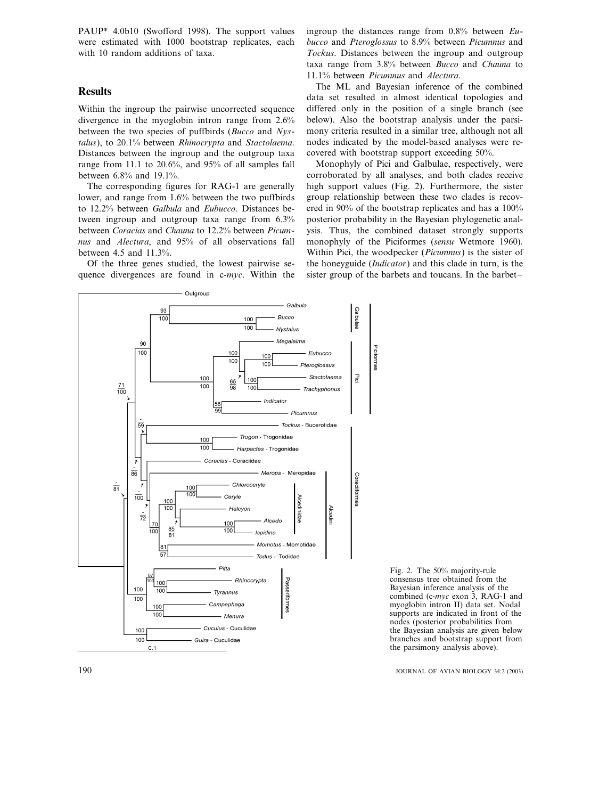PAUP\* 4.0b10 (Swofford 1998). The support values were estimated with 1000 bootstrap replicates, each with 10 random additions of taxa.

## **Results**

Within the ingroup the pairwise uncorrected sequence divergence in the myoglobin intron range from 2.6% between the two species of puffbirds (*Bucco* and *Nystalus*), to 20.1% between *Rhinocrypta* and *Stactolaema*. Distances between the ingroup and the outgroup taxa range from 11.1 to 20.6%, and 95% of all samples fall between 6.8% and 19.1%.

The corresponding figures for RAG-1 are generally lower, and range from 1.6% between the two puffbirds to 12.2% between *Galbula* and *Eubucco*. Distances between ingroup and outgroup taxa range from 6.3% between *Coracias* and *Chauna* to 12.2% between *Picumnus* and *Alectura*, and 95% of all observations fall between 4.5 and 11.3%.

Of the three genes studied, the lowest pairwise sequence divergences are found in c-*myc*. Within the ingroup the distances range from 0.8% between *Eubucco* and *Pteroglossus* to 8.9% between *Picumnus* and *Tockus*. Distances between the ingroup and outgroup taxa range from 3.8% between *Bucco* and *Chauna* to 11.1% between *Picumnus* and *Alectura*.

The ML and Bayesian inference of the combined data set resulted in almost identical topologies and differed only in the position of a single branch (see below). Also the bootstrap analysis under the parsimony criteria resulted in a similar tree, although not all nodes indicated by the model-based analyses were recovered with bootstrap support exceeding 50%.

Monophyly of Pici and Galbulae, respectively, were corroborated by all analyses, and both clades receive high support values (Fig. 2). Furthermore, the sister group relationship between these two clades is recovered in 90% of the bootstrap replicates and has a 100% posterior probability in the Bayesian phylogenetic analysis. Thus, the combined dataset strongly supports monophyly of the Piciformes (*sensu* Wetmore 1960). Within Pici, the woodpecker (*Picumnus*) is the sister of the honeyguide (*Indicator*) and this clade in turn, is the sister group of the barbets and toucans. In the barbet–



Fig. 2. The 50% majority-rule consensus tree obtained from the Bayesian inference analysis of the combined (c-*myc* exon 3, RAG-1 and myoglobin intron II) data set. Nodal supports are indicated in front of the nodes (posterior probabilities from the Bayesian analysis are given below branches and bootstrap support from the parsimony analysis above).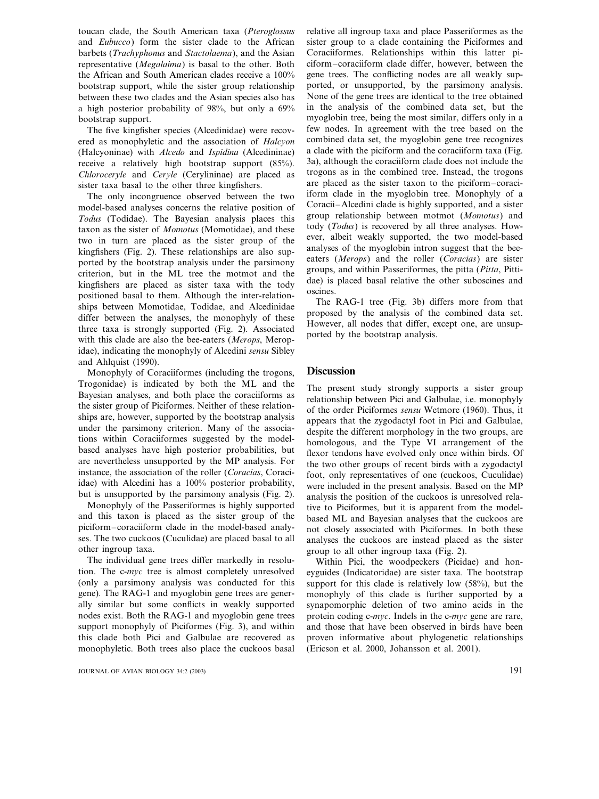toucan clade, the South American taxa (*Pteroglossus* and *Eubucco*) form the sister clade to the African barbets (*Trachyphonus* and *Stactolaema*), and the Asian representative (*Megalaima*) is basal to the other. Both the African and South American clades receive a 100% bootstrap support, while the sister group relationship between these two clades and the Asian species also has a high posterior probability of 98%, but only a 69% bootstrap support.

The five kingfisher species (Alcedinidae) were recovered as monophyletic and the association of *Halcyon* (Halcyoninae) with *Alcedo* and *Ispidina* (Alcedininae) receive a relatively high bootstrap support (85%). *Chloroceryle* and *Ceryle* (Cerylininae) are placed as sister taxa basal to the other three kingfishers.

The only incongruence observed between the two model-based analyses concerns the relative position of *Todus* (Todidae). The Bayesian analysis places this taxon as the sister of *Momotus* (Momotidae), and these two in turn are placed as the sister group of the kingfishers (Fig. 2). These relationships are also supported by the bootstrap analysis under the parsimony criterion, but in the ML tree the motmot and the kingfishers are placed as sister taxa with the tody positioned basal to them. Although the inter-relationships between Momotidae, Todidae, and Alcedinidae differ between the analyses, the monophyly of these three taxa is strongly supported (Fig. 2). Associated with this clade are also the bee-eaters (*Merops*, Meropidae), indicating the monophyly of Alcedini *sensu* Sibley and Ahlquist (1990).

Monophyly of Coraciiformes (including the trogons, Trogonidae) is indicated by both the ML and the Bayesian analyses, and both place the coraciiforms as the sister group of Piciformes. Neither of these relationships are, however, supported by the bootstrap analysis under the parsimony criterion. Many of the associations within Coraciiformes suggested by the modelbased analyses have high posterior probabilities, but are nevertheless unsupported by the MP analysis. For instance, the association of the roller (*Coracias*, Coraciidae) with Alcedini has a 100% posterior probability, but is unsupported by the parsimony analysis (Fig. 2).

Monophyly of the Passeriformes is highly supported and this taxon is placed as the sister group of the piciform–coraciiform clade in the model-based analyses. The two cuckoos (Cuculidae) are placed basal to all other ingroup taxa.

The individual gene trees differ markedly in resolution. The c-*myc* tree is almost completely unresolved (only a parsimony analysis was conducted for this gene). The RAG-1 and myoglobin gene trees are generally similar but some conflicts in weakly supported nodes exist. Both the RAG-1 and myoglobin gene trees support monophyly of Piciformes (Fig. 3), and within this clade both Pici and Galbulae are recovered as monophyletic. Both trees also place the cuckoos basal

JOURNAL OF AVIAN BIOLOGY 34:2 (2003) 191

relative all ingroup taxa and place Passeriformes as the sister group to a clade containing the Piciformes and Coraciiformes. Relationships within this latter piciform–coraciiform clade differ, however, between the gene trees. The conflicting nodes are all weakly supported, or unsupported, by the parsimony analysis. None of the gene trees are identical to the tree obtained in the analysis of the combined data set, but the myoglobin tree, being the most similar, differs only in a few nodes. In agreement with the tree based on the combined data set, the myoglobin gene tree recognizes a clade with the piciform and the coraciiform taxa (Fig. 3a), although the coraciiform clade does not include the trogons as in the combined tree. Instead, the trogons are placed as the sister taxon to the piciform–coraciiform clade in the myoglobin tree. Monophyly of a Coracii–Alcedini clade is highly supported, and a sister group relationship between motmot (*Momotus*) and tody (*Todus*) is recovered by all three analyses. However, albeit weakly supported, the two model-based analyses of the myoglobin intron suggest that the beeeaters (*Merops*) and the roller (*Coracias*) are sister groups, and within Passeriformes, the pitta (*Pitta*, Pittidae) is placed basal relative the other suboscines and oscines.

The RAG-1 tree (Fig. 3b) differs more from that proposed by the analysis of the combined data set. However, all nodes that differ, except one, are unsupported by the bootstrap analysis.

# **Discussion**

The present study strongly supports a sister group relationship between Pici and Galbulae, i.e. monophyly of the order Piciformes *sensu* Wetmore (1960). Thus, it appears that the zygodactyl foot in Pici and Galbulae, despite the different morphology in the two groups, are homologous, and the Type VI arrangement of the flexor tendons have evolved only once within birds. Of the two other groups of recent birds with a zygodactyl foot, only representatives of one (cuckoos, Cuculidae) were included in the present analysis. Based on the MP analysis the position of the cuckoos is unresolved relative to Piciformes, but it is apparent from the modelbased ML and Bayesian analyses that the cuckoos are not closely associated with Piciformes. In both these analyses the cuckoos are instead placed as the sister group to all other ingroup taxa (Fig. 2).

Within Pici, the woodpeckers (Picidae) and honeyguides (Indicatoridae) are sister taxa. The bootstrap support for this clade is relatively low (58%), but the monophyly of this clade is further supported by a synapomorphic deletion of two amino acids in the protein coding c-*myc*. Indels in the c-*myc* gene are rare, and those that have been observed in birds have been proven informative about phylogenetic relationships (Ericson et al. 2000, Johansson et al. 2001).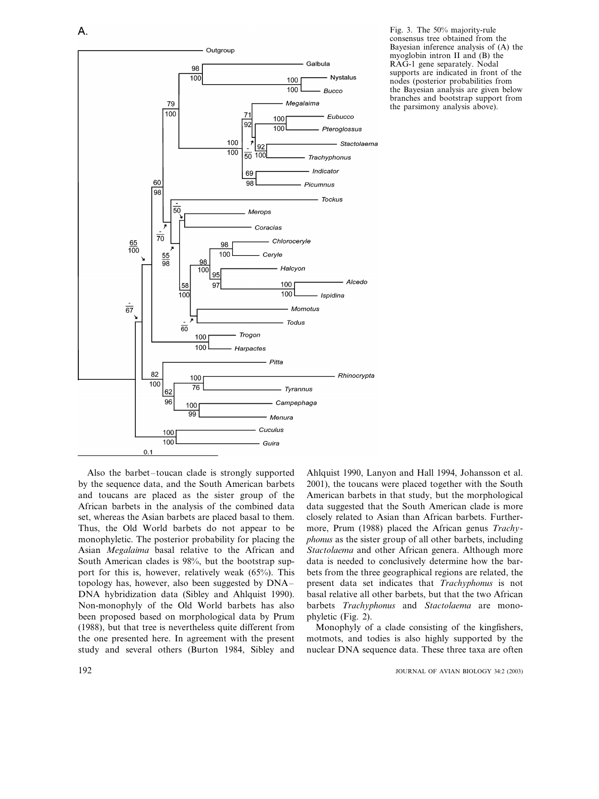A.



Fig. 3. The 50% majority-rule consensus tree obtained from the Bayesian inference analysis of (A) the myoglobin intron II and (B) the RAG-1 gene separately. Nodal supports are indicated in front of the nodes (posterior probabilities from the Bayesian analysis are given below branches and bootstrap support from the parsimony analysis above).

Also the barbet–toucan clade is strongly supported by the sequence data, and the South American barbets and toucans are placed as the sister group of the African barbets in the analysis of the combined data set, whereas the Asian barbets are placed basal to them. Thus, the Old World barbets do not appear to be monophyletic. The posterior probability for placing the Asian *Megalaima* basal relative to the African and South American clades is 98%, but the bootstrap support for this is, however, relatively weak (65%). This topology has, however, also been suggested by DNA– DNA hybridization data (Sibley and Ahlquist 1990). Non-monophyly of the Old World barbets has also been proposed based on morphological data by Prum (1988), but that tree is nevertheless quite different from the one presented here. In agreement with the present study and several others (Burton 1984, Sibley and

Ahlquist 1990, Lanyon and Hall 1994, Johansson et al. 2001), the toucans were placed together with the South American barbets in that study, but the morphological data suggested that the South American clade is more closely related to Asian than African barbets. Furthermore, Prum (1988) placed the African genus *Trachyphonus* as the sister group of all other barbets, including *Stactolaema* and other African genera. Although more data is needed to conclusively determine how the barbets from the three geographical regions are related, the present data set indicates that *Trachyphonus* is not basal relative all other barbets, but that the two African barbets *Trachyphonus* and *Stactolaema* are monophyletic (Fig. 2).

Monophyly of a clade consisting of the kingfishers, motmots, and todies is also highly supported by the nuclear DNA sequence data. These three taxa are often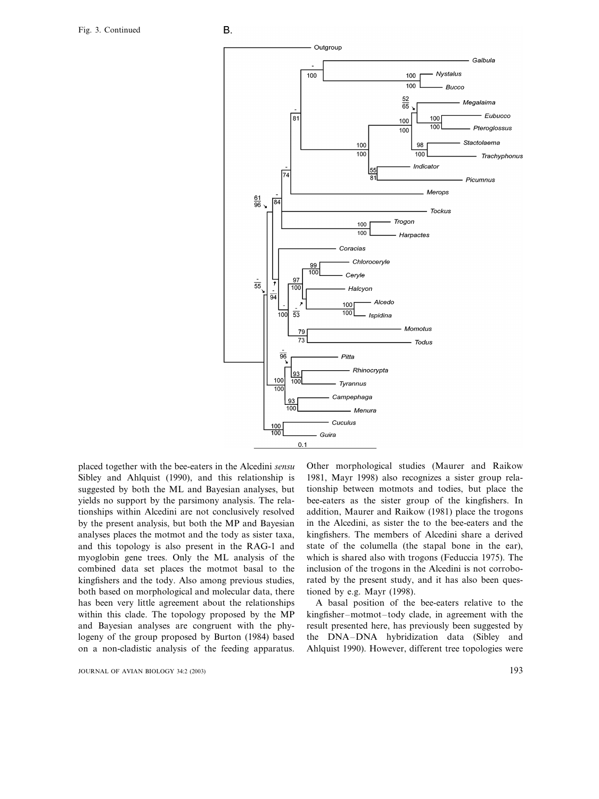

placed together with the bee-eaters in the Alcedini *sensu* Sibley and Ahlquist (1990), and this relationship is suggested by both the ML and Bayesian analyses, but yields no support by the parsimony analysis. The relationships within Alcedini are not conclusively resolved by the present analysis, but both the MP and Bayesian analyses places the motmot and the tody as sister taxa, and this topology is also present in the RAG-1 and myoglobin gene trees. Only the ML analysis of the combined data set places the motmot basal to the kingfishers and the tody. Also among previous studies, both based on morphological and molecular data, there has been very little agreement about the relationships within this clade. The topology proposed by the MP and Bayesian analyses are congruent with the phylogeny of the group proposed by Burton (1984) based on a non-cladistic analysis of the feeding apparatus.

JOURNAL OF AVIAN BIOLOGY 34:2 (2003) 193

Other morphological studies (Maurer and Raikow 1981, Mayr 1998) also recognizes a sister group relationship between motmots and todies, but place the bee-eaters as the sister group of the kingfishers. In addition, Maurer and Raikow (1981) place the trogons in the Alcedini, as sister the to the bee-eaters and the kingfishers. The members of Alcedini share a derived state of the columella (the stapal bone in the ear), which is shared also with trogons (Feduccia 1975). The inclusion of the trogons in the Alcedini is not corroborated by the present study, and it has also been questioned by e.g. Mayr (1998).

A basal position of the bee-eaters relative to the kingfisher–motmot–tody clade, in agreement with the result presented here, has previously been suggested by the DNA–DNA hybridization data (Sibley and Ahlquist 1990). However, different tree topologies were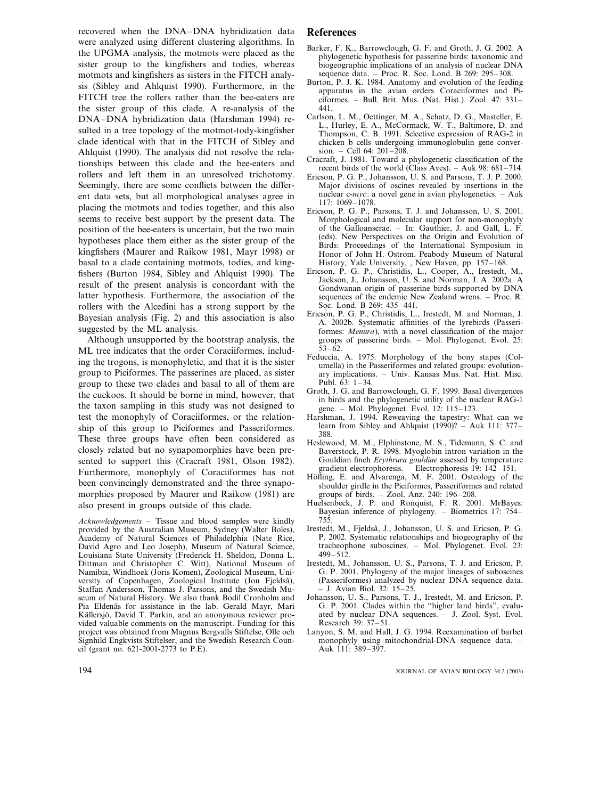recovered when the DNA–DNA hybridization data were analyzed using different clustering algorithms. In the UPGMA analysis, the motmots were placed as the sister group to the kingfishers and todies, whereas motmots and kingfishers as sisters in the FITCH analysis (Sibley and Ahlquist 1990). Furthermore, in the FITCH tree the rollers rather than the bee-eaters are the sister group of this clade. A re-analysis of the DNA–DNA hybridization data (Harshman 1994) resulted in a tree topology of the motmot-tody-kingfisher clade identical with that in the FITCH of Sibley and Ahlquist (1990). The analysis did not resolve the relationships between this clade and the bee-eaters and rollers and left them in an unresolved trichotomy. Seemingly, there are some conflicts between the different data sets, but all morphological analyses agree in placing the motmots and todies together, and this also seems to receive best support by the present data. The position of the bee-eaters is uncertain, but the two main hypotheses place them either as the sister group of the kingfishers (Maurer and Raikow 1981, Mayr 1998) or basal to a clade containing motmots, todies, and kingfishers (Burton 1984, Sibley and Ahlquist 1990). The result of the present analysis is concordant with the latter hypothesis. Furthermore, the association of the rollers with the Alcedini has a strong support by the Bayesian analysis (Fig. 2) and this association is also suggested by the ML analysis.

Although unsupported by the bootstrap analysis, the ML tree indicates that the order Coraciiformes, including the trogons, is monophyletic, and that it is the sister group to Piciformes. The passerines are placed, as sister group to these two clades and basal to all of them are the cuckoos. It should be borne in mind, however, that the taxon sampling in this study was not designed to test the monophyly of Coraciiformes, or the relationship of this group to Piciformes and Passeriformes. These three groups have often been considered as closely related but no synapomorphies have been presented to support this (Cracraft 1981, Olson 1982). Furthermore, monophyly of Coraciiformes has not been convincingly demonstrated and the three synapomorphies proposed by Maurer and Raikow (1981) are also present in groups outside of this clade.

*Acknowledgements* – Tissue and blood samples were kindly provided by the Australian Museum, Sydney (Walter Boles), Academy of Natural Sciences of Philadelphia (Nate Rice, David Agro and Leo Joseph), Museum of Natural Science. Louisiana State University (Frederick H. Sheldon, Donna L. Dittman and Christopher C. Witt), National Museum of Namibia, Windhoek (Joris Komen), Zoological Museum, University of Copenhagen, Zoological Institute (Jon Fieldså), Staffan Andersson, Thomas J. Parsons, and the Swedish Museum of Natural History. We also thank Bodil Cronholm and Pia Eldenäs for assistance in the lab. Gerald Mayr, Mari Källersjö, David T. Parkin, and an anonymous reviewer provided valuable comments on the manuscript. Funding for this project was obtained from Magnus Bergvalls Stiftelse, Olle och Signhild Engkvists Stiftelser, and the Swedish Research Council (grant no. 621-2001-2773 to P.E).

# **References**

- Barker, F. K., Barrowclough, G. F. and Groth, J. G. 2002. A phylogenetic hypothesis for passerine birds: taxonomic and biogeographic implications of an analysis of nuclear DNA sequence data. – Proc. R. Soc. Lond. B 269: 295–308.
- Burton, P. J. K. 1984. Anatomy and evolution of the feeding apparatus in the avian orders Coraciiformes and Piciformes. – Bull. Brit. Mus. (Nat. Hist.). Zool. 47: 331– 441.
- Carlson, L. M., Oettinger, M. A., Schatz, D. G., Masteller, E. L., Hurley, E. A., McCormack, W. T., Baltimore, D. and Thompson, C. B. 1991. Selective expression of RAG-2 in chicken b cells undergoing immunoglobulin gene conversion. – Cell 64: 201–208.
- Cracraft, J. 1981. Toward a phylogenetic classification of the recent birds of the world (Class Aves). – Auk 98: 681–714.
- Ericson, P. G. P., Johansson, U. S. and Parsons, T. J. P. 2000. Major divisions of oscines revealed by insertions in the nuclear c-*myc*: a novel gene in avian phylogenetics. – Auk 117: 1069–1078.
- Ericson, P. G. P., Parsons, T. J. and Johansson, U. S. 2001. Morphological and molecular support for non-monophyly of the Galloanserae. – In: Gauthier, J. and Gall, L. F. (eds). New Perspectives on the Origin and Evolution of Birds: Proceedings of the International Symposium in Honor of John H. Ostrom. Peabody Museum of Natural History, Yale University, , New Haven, pp. 157–168.
- Ericson, P. G. P., Christidis, L., Cooper, A., Irestedt, M., Jackson, J., Johansson, U. S. and Norman, J. A. 2002a. A Gondwanan origin of passerine birds supported by DNA sequences of the endemic New Zealand wrens. – Proc. R. Soc. Lond. B 269: 435–441.
- Ericson, P. G. P., Christidis, L., Irestedt, M. and Norman, J. A. 2002b. Systematic affinities of the lyrebirds (Passeriformes: *Menura*), with a novel classification of the major groups of passerine birds. – Mol. Phylogenet. Evol. 25:  $53-\overline{62}$ .
- Feduccia, A. 1975. Morphology of the bony stapes (Columella) in the Passeriformes and related groups: evolutionary implications. – Univ. Kansas Mus. Nat. Hist. Misc. Publ. 63: 1–34.
- Groth, J. G. and Barrowclough, G. F. 1999. Basal divergences in birds and the phylogenetic utility of the nuclear RAG-1 gene. – Mol. Phylogenet. Evol. 12: 115–123.
- Harshman, J. 1994. Reweaving the tapestry: What can we learn from Sibley and Ahlquist (1990)? – Auk 111: 377– 388.
- Heslewood, M. M., Elphinstone, M. S., Tidemann, S. C. and Baverstock, P. R. 1998. Myoglobin intron variation in the Gouldian finch *Erythrura gouldiae* assessed by temperature gradient electrophoresis. – Electrophoresis 19: 142–151.
- Höfling, E. and Alvarenga, M. F. 2001. Osteology of the shoulder girdle in the Piciformes, Passeriformes and related groups of birds. – Zool. Anz. 240: 196–208.
- Huelsenbeck, J. P. and Ronquist, F. R. 2001. MrBayes: Bayesian inference of phylogeny. – Biometrics 17: 754– 755.
- Irestedt, M., Fieldså, J., Johansson, U. S. and Ericson, P. G. P. 2002. Systematic relationships and biogeography of the tracheophone suboscines. – Mol. Phylogenet. Evol. 23: 499–512.
- Irestedt, M., Johansson, U. S., Parsons, T. J. and Ericson, P. G. P. 2001. Phylogeny of the major lineages of suboscines (Passeriformes) analyzed by nuclear DNA sequence data. – J. Avian Biol. 32: 15–25.
- Johansson, U. S., Parsons, T. J., Irestedt, M. and Ericson, P. G. P. 2001. Clades within the ''higher land birds'', evaluated by nuclear DNA sequences. – J. Zool. Syst. Evol. Research 39: 37–51.
- Lanyon, S. M. and Hall, J. G. 1994. Reexamination of barbet monophyly using mitochondrial-DNA sequence data. – Auk 111: 389–397.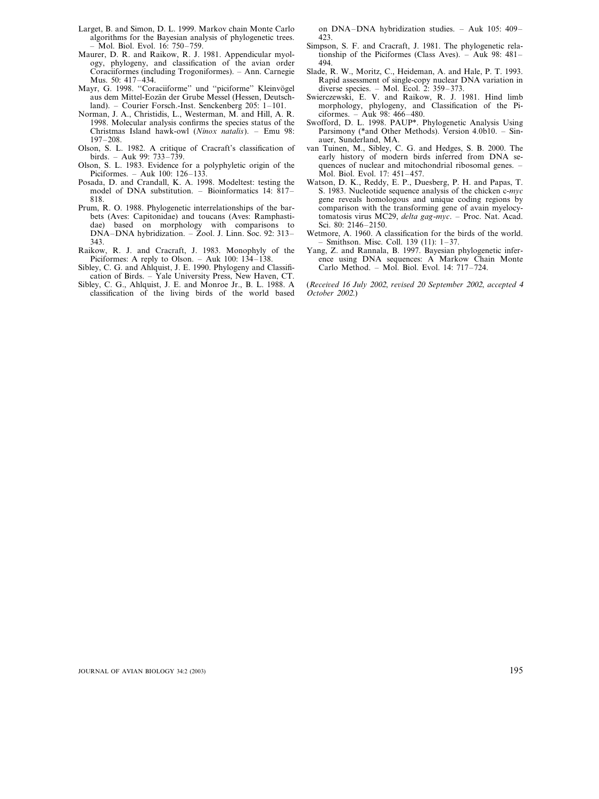- Larget, B. and Simon, D. L. 1999. Markov chain Monte Carlo algorithms for the Bayesian analysis of phylogenetic trees. – Mol. Biol. Evol. 16: 750–759.
- Maurer, D. R. and Raikow, R. J. 1981. Appendicular myology, phylogeny, and classification of the avian order Coraciiformes (including Trogoniformes). – Ann. Carnegie Mus. 50: 417–434.
- Mayr, G. 1998. "Coraciiforme" und "piciforme" Kleinvögel aus dem Mittel-Eozän der Grube Messel (Hessen, Deutschland). – Courier Forsch.-Inst. Senckenberg 205: 1–101.
- Norman, J. A., Christidis, L., Westerman, M. and Hill, A. R. 1998. Molecular analysis confirms the species status of the Christmas Island hawk-owl (*Ninox natalis*). – Emu 98: 197–208.
- Olson, S. L. 1982. A critique of Cracraft's classification of birds. – Auk 99: 733–739.
- Olson, S. L. 1983. Evidence for a polyphyletic origin of the Piciformes. – Auk 100: 126–133.
- Posada, D. and Crandall, K. A. 1998. Modeltest: testing the model of DNA substitution. – Bioinformatics 14: 817– 818.
- Prum, R. O. 1988. Phylogenetic interrelationships of the barbets (Aves: Capitonidae) and toucans (Aves: Ramphastidae) based on morphology with comparisons to DNA–DNA hybridization. – Zool. J. Linn. Soc. 92: 313– 343.
- Raikow, R. J. and Cracraft, J. 1983. Monophyly of the Piciformes: A reply to Olson. – Auk 100: 134–138.
- Sibley, C. G. and Ahlquist, J. E. 1990. Phylogeny and Classification of Birds. – Yale University Press, New Haven, CT.
- Sibley, C. G., Ahlquist, J. E. and Monroe Jr., B. L. 1988. A classification of the living birds of the world based

on DNA–DNA hybridization studies. – Auk 105: 409– 423.

- Simpson, S. F. and Cracraft, J. 1981. The phylogenetic relationship of the Piciformes (Class Aves). – Auk 98: 481– 494.
- Slade, R. W., Moritz, C., Heideman, A. and Hale, P. T. 1993. Rapid assessment of single-copy nuclear DNA variation in diverse species. – Mol. Ecol. 2: 359–373.
- Swierczewski, E. V. and Raikow, R. J. 1981. Hind limb morphology, phylogeny, and Classification of the Piciformes. – Auk 98: 466–480.
- Swofford, D. L. 1998. PAUP\*. Phylogenetic Analysis Using Parsimony (\*and Other Methods). Version 4.0b10. – Sinauer, Sunderland, MA.
- van Tuinen, M., Sibley, C. G. and Hedges, S. B. 2000. The early history of modern birds inferred from DNA sequences of nuclear and mitochondrial ribosomal genes. – Mol. Biol. Evol. 17: 451–457.
- Watson, D. K., Reddy, E. P., Duesberg, P. H. and Papas, T. S. 1983. Nucleotide sequence analysis of the chicken c-*myc* gene reveals homologous and unique coding regions by comparison with the transforming gene of avain myelocytomatosis virus MC29, *delta gag*-*myc*. – Proc. Nat. Acad. Sci. 80: 2146–2150.
- Wetmore, A. 1960. A classification for the birds of the world. – Smithson. Misc. Coll. 139 (11): 1–37.
- Yang, Z. and Rannala, B. 1997. Bayesian phylogenetic inference using DNA sequences: A Markow Chain Monte Carlo Method. – Mol. Biol. Evol. 14: 717–724.

(*Receied* <sup>16</sup> *July* <sup>2002</sup>, *reised* <sup>20</sup> *September* <sup>2002</sup>, *accepted* <sup>4</sup> *October* 2002.)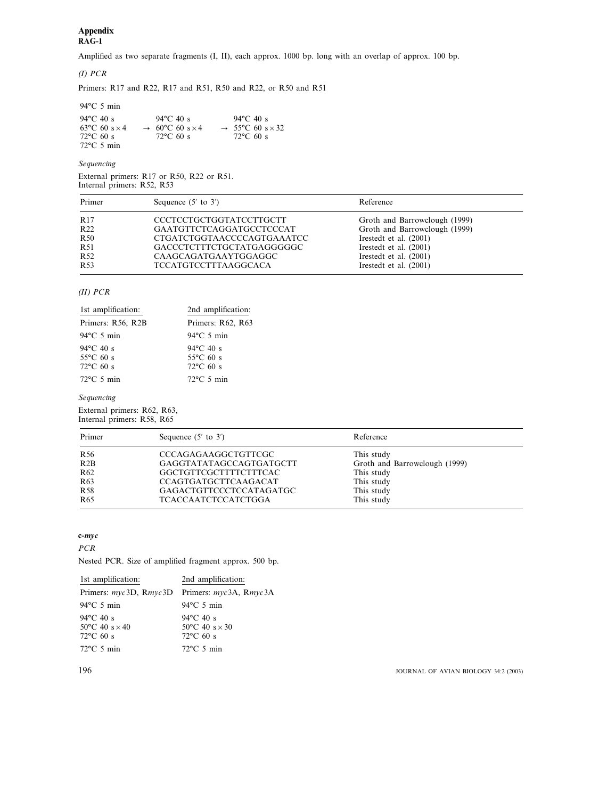### **Appendix RAG-1**

Amplified as two separate fragments (I, II), each approx. 1000 bp. long with an overlap of approx. 100 bp.

(*I*) *PCR*

Primers: R17 and R22, R17 and R51, R50 and R22, or R50 and R51

94°C 5 min

| 94 °C 40 s           | 94 °C 40 s                                 | 94 °C 40 s                          |
|----------------------|--------------------------------------------|-------------------------------------|
| 63°C 60 s $\times$ 4 | $\rightarrow 60^{\circ}$ C 60 s $\times$ 4 | $\rightarrow$ 55°C 60 s $\times$ 32 |
| $72^{\circ}$ C 60 s  | $72^{\circ}$ C 60 s                        | $72^{\circ}$ C 60 s                 |
| $72^{\circ}$ C 5 min |                                            |                                     |

# *Sequencing*

External primers: R17 or R50, R22 or R51. Internal primers: R52, R53

| Primer          | Sequence $(5'$ to $3')$        | Reference                     |
|-----------------|--------------------------------|-------------------------------|
| R <sub>17</sub> | <b>CCCTCCTGCTGGTATCCTTGCTT</b> | Groth and Barrowclough (1999) |
| R <sub>22</sub> | GAATGTTCTCAGGATGCCTCCCAT       | Groth and Barrowclough (1999) |
| R <sub>50</sub> | CTGATCTGGTAACCCCAGTGAAATCC     | Irestedt et al. $(2001)$      |
| R <sub>51</sub> | GACCCTCTTTCTGCTATGAGGGGGC      | Irestedt et al. $(2001)$      |
| R <sub>52</sub> | CAAGCAGATGAAYTGGAGGC           | Irestedt et al. $(2001)$      |
| R <sub>53</sub> | <b>TCCATGTCCTTTAAGGCACA</b>    | Irestedt et al. $(2001)$      |

# (*II*) *PCR*

| 1st amplification:                                                | 2nd amplification:                                                |
|-------------------------------------------------------------------|-------------------------------------------------------------------|
| Primers: R56, R2B                                                 | Primers: R62, R63                                                 |
| $94^{\circ}$ C 5 min                                              | $94^{\circ}$ C 5 min                                              |
| $94^{\circ}$ C 40 s<br>$55^{\circ}$ C 60 s<br>$72^{\circ}$ C 60 s | $94^{\circ}$ C 40 s<br>$55^{\circ}$ C 60 s<br>$72^{\circ}$ C 60 s |
| $72^{\circ}$ C 5 min                                              | $72^{\circ}$ C 5 min                                              |

# *Sequencing*

External primers: R62, R63, Internal primers: R58, R65

| Primer          | Sequence $(5'$ to $3')$     | Reference                     |
|-----------------|-----------------------------|-------------------------------|
| R <sub>56</sub> | <b>CCCAGAGAAGGCTGTTCGC</b>  | This study                    |
| R2B             | GAGGTATATAGCCAGTGATGCTT     | Groth and Barrowclough (1999) |
| R <sub>62</sub> | GGCTGTTCGCTTTTCTTTCAC       | This study                    |
| R <sub>63</sub> | <b>CCAGTGATGCTTCAAGACAT</b> | This study                    |
| <b>R58</b>      | GAGACTGTTCCCTCCATAGATGC     | This study                    |
| R <sub>65</sub> | <b>TCACCAATCTCCATCTGGA</b>  | This study                    |

#### **c-***myc*

#### *PCR*

Nested PCR. Size of amplified fragment approx. 500 bp.

| 1st amplification:                                                  | 2nd amplification:                                                  |
|---------------------------------------------------------------------|---------------------------------------------------------------------|
| Primers: myc3D, Rmyc3D Primers: myc3A, Rmyc3A                       |                                                                     |
| $94^{\circ}$ C 5 min                                                | $94^{\circ}$ C 5 min                                                |
| $94^{\circ}$ C 40 s<br>50°C 40 s $\times$ 40<br>$72^{\circ}$ C 60 s | $94^{\circ}$ C 40 s<br>50°C 40 s $\times$ 30<br>$72^{\circ}$ C 60 s |
| $72^{\circ}$ C 5 min                                                | $72^{\circ}$ C 5 min                                                |